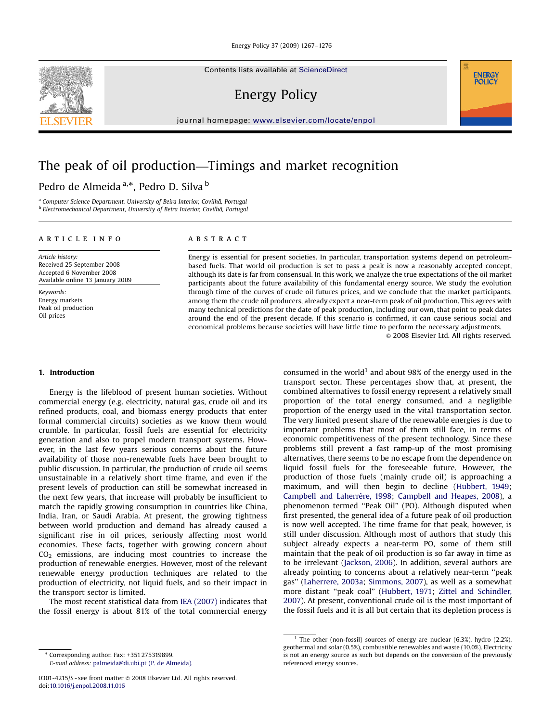Contents lists available at [ScienceDirect](www.sciencedirect.com/science/journal/jepo)

Energy Policy

journal homepage: <www.elsevier.com/locate/enpol>

# The peak of oil production—Timings and market recognition

# Pedro de Almeida<sup>a,\*</sup>, Pedro D. Silva <sup>b</sup>

<sup>a</sup> Computer Science Department, University of Beira Interior, Covilhã, Portugal b Electromechanical Department, University of Beira Interior, Covilhã, Portugal

## article info

Article history: Received 25 September 2008 Accepted 6 November 2008 Available online 13 January 2009

Keywords: Energy markets Peak oil production Oil prices

## **ABSTRACT**

Energy is essential for present societies. In particular, transportation systems depend on petroleumbased fuels. That world oil production is set to pass a peak is now a reasonably accepted concept, although its date is far from consensual. In this work, we analyze the true expectations of the oil market participants about the future availability of this fundamental energy source. We study the evolution through time of the curves of crude oil futures prices, and we conclude that the market participants, among them the crude oil producers, already expect a near-term peak of oil production. This agrees with many technical predictions for the date of peak production, including our own, that point to peak dates around the end of the present decade. If this scenario is confirmed, it can cause serious social and economical problems because societies will have little time to perform the necessary adjustments.

 $\odot$  2008 Elsevier Ltd. All rights reserved.

## 1. Introduction

Energy is the lifeblood of present human societies. Without commercial energy (e.g. electricity, natural gas, crude oil and its refined products, coal, and biomass energy products that enter formal commercial circuits) societies as we know them would crumble. In particular, fossil fuels are essential for electricity generation and also to propel modern transport systems. However, in the last few years serious concerns about the future availability of those non-renewable fuels have been brought to public discussion. In particular, the production of crude oil seems unsustainable in a relatively short time frame, and even if the present levels of production can still be somewhat increased in the next few years, that increase will probably be insufficient to match the rapidly growing consumption in countries like China, India, Iran, or Saudi Arabia. At present, the growing tightness between world production and demand has already caused a significant rise in oil prices, seriously affecting most world economies. These facts, together with growing concern about  $CO<sub>2</sub>$  emissions, are inducing most countries to increase the production of renewable energies. However, most of the relevant renewable energy production techniques are related to the production of electricity, not liquid fuels, and so their impact in the transport sector is limited.

The most recent statistical data from [IEA \(2007\)](#page--1-0) indicates that the fossil energy is about 81% of the total commercial energy

consumed in the world<sup>1</sup> and about 98% of the energy used in the transport sector. These percentages show that, at present, the combined alternatives to fossil energy represent a relatively small proportion of the total energy consumed, and a negligible proportion of the energy used in the vital transportation sector. The very limited present share of the renewable energies is due to important problems that most of them still face, in terms of economic competitiveness of the present technology. Since these problems still prevent a fast ramp-up of the most promising alternatives, there seems to be no escape from the dependence on liquid fossil fuels for the foreseeable future. However, the production of those fuels (mainly crude oil) is approaching a maximum, and will then begin to decline ([Hubbert, 1949;](#page--1-0) Campbell and Laherrère, 1998; [Campbell and Heapes, 2008](#page--1-0)), a phenomenon termed ''Peak Oil'' (PO). Although disputed when first presented, the general idea of a future peak of oil production is now well accepted. The time frame for that peak, however, is still under discussion. Although most of authors that study this subject already expects a near-term PO, some of them still maintain that the peak of oil production is so far away in time as to be irrelevant [\(Jackson, 2006\)](#page--1-0). In addition, several authors are already pointing to concerns about a relatively near-term ''peak gas'' [\(Laherrere, 2003a](#page--1-0); [Simmons, 2007](#page--1-0)), as well as a somewhat more distant ''peak coal'' ([Hubbert, 1971](#page--1-0); [Zittel and Schindler,](#page--1-0) [2007\)](#page--1-0). At present, conventional crude oil is the most important of the fossil fuels and it is all but certain that its depletion process is



<sup>-</sup>Corresponding author. Fax: +351 275319899.

E-mail address: [palmeida@di.ubi.pt \(P. de Almeida\).](mailto:palmeida@di.ubi.pt)

<sup>0301-4215/\$ -</sup> see front matter  $\circ$  2008 Elsevier Ltd. All rights reserved. doi:[10.1016/j.enpol.2008.11.016](dx.doi.org/10.1016/j.enpol.2008.11.016)

<sup>&</sup>lt;sup>1</sup> The other (non-fossil) sources of energy are nuclear (6.3%), hydro (2.2%), geothermal and solar (0.5%), combustible renewables and waste (10.0%). Electricity is not an energy source as such but depends on the conversion of the previously referenced energy sources.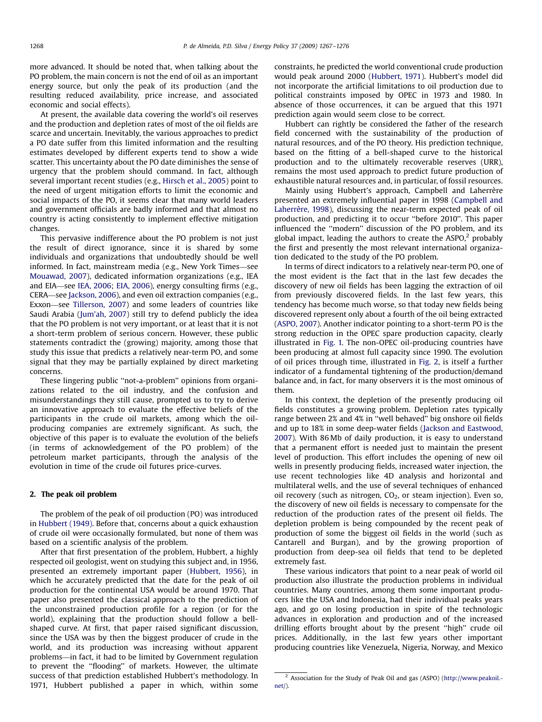more advanced. It should be noted that, when talking about the PO problem, the main concern is not the end of oil as an important energy source, but only the peak of its production (and the resulting reduced availability, price increase, and associated economic and social effects).

At present, the available data covering the world's oil reserves and the production and depletion rates of most of the oil fields are scarce and uncertain. Inevitably, the various approaches to predict a PO date suffer from this limited information and the resulting estimates developed by different experts tend to show a wide scatter. This uncertainty about the PO date diminishes the sense of urgency that the problem should command. In fact, although several important recent studies (e.g., [Hirsch et al., 2005](#page--1-0)) point to the need of urgent mitigation efforts to limit the economic and social impacts of the PO, it seems clear that many world leaders and government officials are badly informed and that almost no country is acting consistently to implement effective mitigation changes.

This pervasive indifference about the PO problem is not just the result of direct ignorance, since it is shared by some individuals and organizations that undoubtedly should be well informed. In fact, mainstream media (e.g., New York Times—see [Mouawad, 2007](#page--1-0)), dedicated information organizations (e.g., IEA and EIA—see [IEA, 2006](#page--1-0); [EIA, 2006\)](#page--1-0), energy consulting firms (e.g., CERA—see [Jackson, 2006\)](#page--1-0), and even oil extraction companies (e.g., Exxon—see [Tillerson, 2007\)](#page--1-0) and some leaders of countries like Saudi Arabia [\(Jum'ah, 2007](#page--1-0)) still try to defend publicly the idea that the PO problem is not very important, or at least that it is not a short-term problem of serious concern. However, these public statements contradict the (growing) majority, among those that study this issue that predicts a relatively near-term PO, and some signal that they may be partially explained by direct marketing concerns.

These lingering public ''not-a-problem'' opinions from organizations related to the oil industry, and the confusion and misunderstandings they still cause, prompted us to try to derive an innovative approach to evaluate the effective beliefs of the participants in the crude oil markets, among which the oilproducing companies are extremely significant. As such, the objective of this paper is to evaluate the evolution of the beliefs (in terms of acknowledgement of the PO problem) of the petroleum market participants, through the analysis of the evolution in time of the crude oil futures price-curves.

#### 2. The peak oil problem

The problem of the peak of oil production (PO) was introduced in [Hubbert \(1949\)](#page--1-0). Before that, concerns about a quick exhaustion of crude oil were occasionally formulated, but none of them was based on a scientific analysis of the problem.

After that first presentation of the problem, Hubbert, a highly respected oil geologist, went on studying this subject and, in 1956, presented an extremely important paper ([Hubbert, 1956\)](#page--1-0), in which he accurately predicted that the date for the peak of oil production for the continental USA would be around 1970. That paper also presented the classical approach to the prediction of the unconstrained production profile for a region (or for the world), explaining that the production should follow a bellshaped curve. At first, that paper raised significant discussion, since the USA was by then the biggest producer of crude in the world, and its production was increasing without apparent problems—in fact, it had to be limited by Government regulation to prevent the ''flooding'' of markets. However, the ultimate success of that prediction established Hubbert's methodology. In 1971, Hubbert published a paper in which, within some constraints, he predicted the world conventional crude production would peak around 2000 [\(Hubbert, 1971](#page--1-0)). Hubbert's model did not incorporate the artificial limitations to oil production due to political constraints imposed by OPEC in 1973 and 1980. In absence of those occurrences, it can be argued that this 1971 prediction again would seem close to be correct.

Hubbert can rightly be considered the father of the research field concerned with the sustainability of the production of natural resources, and of the PO theory. His prediction technique, based on the fitting of a bell-shaped curve to the historical production and to the ultimately recoverable reserves (URR), remains the most used approach to predict future production of exhaustible natural resources and, in particular, of fossil resources.

Mainly using Hubbert's approach, Campbell and Laherrère presented an extremely influential paper in 1998 [\(Campbell and](#page--1-0) Laherrè[re, 1998\)](#page--1-0), discussing the near-term expected peak of oil production, and predicting it to occur ''before 2010''. This paper influenced the ''modern'' discussion of the PO problem, and its global impact, leading the authors to create the  $ASPO<sub>i</sub><sup>2</sup>$  probably the first and presently the most relevant international organization dedicated to the study of the PO problem.

In terms of direct indicators to a relatively near-term PO, one of the most evident is the fact that in the last few decades the discovery of new oil fields has been lagging the extraction of oil from previously discovered fields. In the last few years, this tendency has become much worse, so that today new fields being discovered represent only about a fourth of the oil being extracted ([ASPO, 2007](#page--1-0)). Another indicator pointing to a short-term PO is the strong reduction in the OPEC spare production capacity, clearly illustrated in [Fig. 1.](#page--1-0) The non-OPEC oil-producing countries have been producing at almost full capacity since 1990. The evolution of oil prices through time, illustrated in [Fig. 2,](#page--1-0) is itself a further indicator of a fundamental tightening of the production/demand balance and, in fact, for many observers it is the most ominous of them.

In this context, the depletion of the presently producing oil fields constitutes a growing problem. Depletion rates typically range between 2% and 4% in ''well behaved'' big onshore oil fields and up to 18% in some deep-water fields [\(Jackson and Eastwood,](#page--1-0) [2007\)](#page--1-0). With 86 Mb of daily production, it is easy to understand that a permanent effort is needed just to maintain the present level of production. This effort includes the opening of new oil wells in presently producing fields, increased water injection, the use recent technologies like 4D analysis and horizontal and multilateral wells, and the use of several techniques of enhanced oil recovery (such as nitrogen,  $CO<sub>2</sub>$ , or steam injection). Even so, the discovery of new oil fields is necessary to compensate for the reduction of the production rates of the present oil fields. The depletion problem is being compounded by the recent peak of production of some the biggest oil fields in the world (such as Cantarell and Burgan), and by the growing proportion of production from deep-sea oil fields that tend to be depleted extremely fast.

These various indicators that point to a near peak of world oil production also illustrate the production problems in individual countries. Many countries, among them some important producers like the USA and Indonesia, had their individual peaks years ago, and go on losing production in spite of the technologic advances in exploration and production and of the increased drilling efforts brought about by the present ''high'' crude oil prices. Additionally, in the last few years other important producing countries like Venezuela, Nigeria, Norway, and Mexico

<sup>2</sup> Association for the Study of Peak Oil and gas (ASPO) ([http://www.peakoil.](http://www.peakoil.net/) [net/\)](http://www.peakoil.net/).